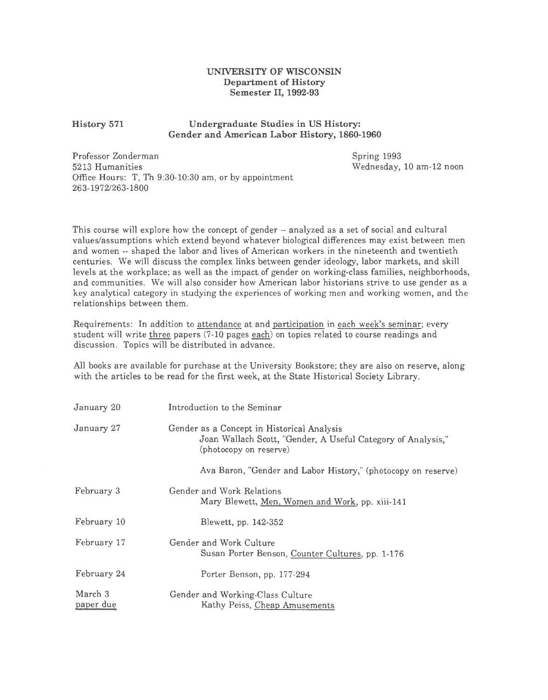## UNIVERSITY OF WISCONSIN Department of History Semester II, 1992-93

## History 571 Undergraduate Studies in US History: Gender and American Labor History, 1860-1960

Professor Zonderman 5213 Humanities Office Hours: T, Th 9:30-10:30 am, or by appointment 263-1972/263-1800

Spring 1993 Wednesday, 10 am-12 noon

This course will explore how the concept of gender -- analyzed as a set of social and cultural values/assumptions which extend beyond whatever biological differences may exist between men and women -- shaped the labor and lives of American workers in the nineteenth and twentieth centuries. We will discuss the complex links between gender ideology, labor markets, and skill levels at the workplace; as well as the impact of gender on working-class families, neighborhoods, and communities. We will also consider how American labor historians strive to use gender as a key analytical category in studying the experiences of working men and working women, and the relationships between them.

Requirements: In addition to attendance at and participation in each week's seminar; every student will write three papers (7-10 pages each) on topics related to course readings and discussion. Topics will be distributed in advance.

All books are available for purchase at the University Bookstore; they are also on reserve, along with the articles to be read for the first week, at the State Historical Society Library.

| January 20           | Introduction to the Seminar                                                                                                          |
|----------------------|--------------------------------------------------------------------------------------------------------------------------------------|
| January 27           | Gender as a Concept in Historical Analysis<br>Joan Wallach Scott, "Gender, A Useful Category of Analysis,"<br>(photocopy on reserve) |
|                      | Ava Baron, "Gender and Labor History," (photocopy on reserve)                                                                        |
| February 3           | Gender and Work Relations<br>Mary Blewett, Men, Women and Work, pp. xiii-141                                                         |
| February 10          | Blewett, pp. 142-352                                                                                                                 |
| February 17          | Gender and Work Culture<br>Susan Porter Benson, Counter Cultures, pp. 1-176                                                          |
| February 24          | Porter Benson, pp. 177-294                                                                                                           |
| March 3<br>paper due | Gender and Working-Class Culture<br>Kathy Peiss, Cheap Amusements                                                                    |